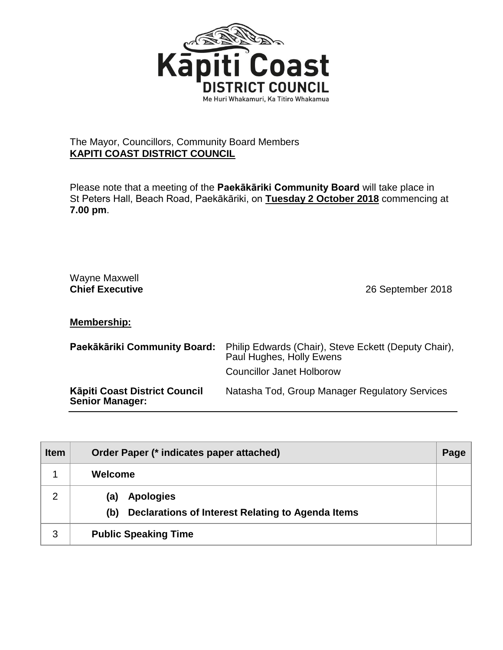

## The Mayor, Councillors, Community Board Members **KAPITI COAST DISTRICT COUNCIL**

Please note that a meeting of the **Paekākāriki Community Board** will take place in St Peters Hall, Beach Road, Paekākāriki, on **Tuesday 2 October 2018** commencing at **7.00 pm**.

## Wayne Maxwell

**Chief Executive** 2018

## **Membership:**

|                                                         | Paekākāriki Community Board: Philip Edwards (Chair), Steve Eckett (Deputy Chair),<br>Paul Hughes, Holly Ewens |
|---------------------------------------------------------|---------------------------------------------------------------------------------------------------------------|
|                                                         | <b>Councillor Janet Holborow</b>                                                                              |
| Kāpiti Coast District Council<br><b>Senior Manager:</b> | Natasha Tod, Group Manager Regulatory Services                                                                |

| <b>Item</b>    | Order Paper (* indicates paper attached)                 | Page |
|----------------|----------------------------------------------------------|------|
|                | Welcome                                                  |      |
| $\overline{2}$ | <b>Apologies</b><br>(a)                                  |      |
|                | Declarations of Interest Relating to Agenda Items<br>(b) |      |
| 3              | <b>Public Speaking Time</b>                              |      |